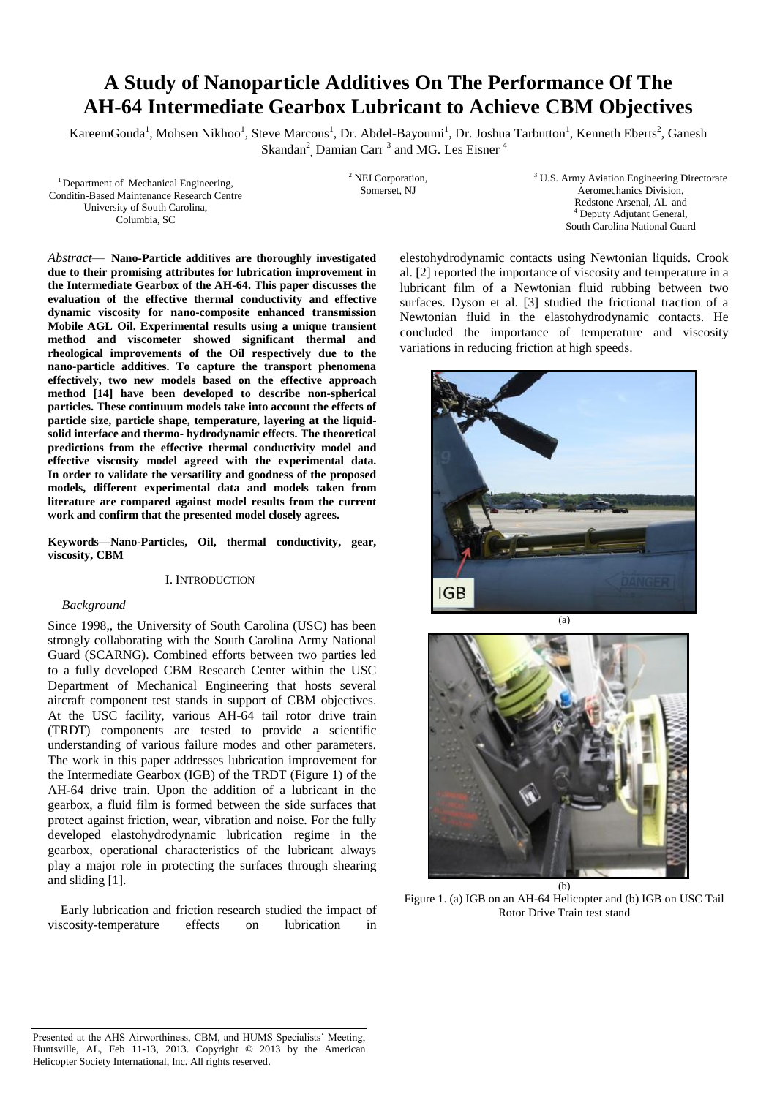# **A Study of Nanoparticle Additives On The Performance Of The AH-64 Intermediate Gearbox Lubricant to Achieve CBM Objectives**

KareemGouda<sup>1</sup>, Mohsen Nikhoo<sup>1</sup>, Steve Marcous<sup>1</sup>, Dr. Abdel-Bayoumi<sup>1</sup>, Dr. Joshua Tarbutton<sup>1</sup>, Kenneth Eberts<sup>2</sup>, Ganesh Skandan<sup>2</sup>, Damian Carr<sup>3</sup> and MG. Les Eisner<sup>4</sup>

<sup>1</sup>Department of Mechanical Engineering, Conditin-Based Maintenance Research Centre University of South Carolina, Columbia, SC

<sup>2</sup> NEI Corporation, Somerset, NJ

<sup>3</sup> U.S. Army Aviation Engineering Directorate Aeromechanics Division, Redstone Arsenal, AL and <sup>4</sup> Deputy Adjutant General, South Carolina National Guard

*Abstract*— **Nano-Particle additives are thoroughly investigated due to their promising attributes for lubrication improvement in the Intermediate Gearbox of the AH-64. This paper discusses the evaluation of the effective thermal conductivity and effective dynamic viscosity for nano-composite enhanced transmission Mobile AGL Oil. Experimental results using a unique transient method and viscometer showed significant thermal and rheological improvements of the Oil respectively due to the nano-particle additives. To capture the transport phenomena effectively, two new models based on the effective approach method [14] have been developed to describe non-spherical particles. These continuum models take into account the effects of particle size, particle shape, temperature, layering at the liquidsolid interface and thermo- hydrodynamic effects. The theoretical predictions from the effective thermal conductivity model and effective viscosity model agreed with the experimental data. In order to validate the versatility and goodness of the proposed models, different experimental data and models taken from literature are compared against model results from the current work and confirm that the presented model closely agrees.**

**Keywords—Nano-Particles, Oil, thermal conductivity, gear, viscosity, CBM**

#### I. INTRODUCTION

## *Background*

Since 1998,, the University of South Carolina (USC) has been strongly collaborating with the South Carolina Army National Guard (SCARNG). Combined efforts between two parties led to a fully developed CBM Research Center within the USC Department of Mechanical Engineering that hosts several aircraft component test stands in support of CBM objectives. At the USC facility, various AH-64 tail rotor drive train (TRDT) components are tested to provide a scientific understanding of various failure modes and other parameters. The work in this paper addresses lubrication improvement for the Intermediate Gearbox (IGB) of the TRDT (Figure 1) of the AH-64 drive train. Upon the addition of a lubricant in the gearbox, a fluid film is formed between the side surfaces that protect against friction, wear, vibration and noise. For the fully developed elastohydrodynamic lubrication regime in the gearbox, operational characteristics of the lubricant always play a major role in protecting the surfaces through shearing and sliding [1].

 Early lubrication and friction research studied the impact of viscosity-temperature effects on lubrication in

elestohydrodynamic contacts using Newtonian liquids. Crook al. [2] reported the importance of viscosity and temperature in a lubricant film of a Newtonian fluid rubbing between two surfaces. Dyson et al. [3] studied the frictional traction of a Newtonian fluid in the elastohydrodynamic contacts. He concluded the importance of temperature and viscosity variations in reducing friction at high speeds.





Figure 1. (a) IGB on an AH-64 Helicopter and (b) IGB on USC Tail Rotor Drive Train test stand

Presented at the AHS Airworthiness, CBM, and HUMS Specialists' Meeting, Huntsville, AL, Feb 11-13, 2013. Copyright © 2013 by the American Helicopter Society International, Inc. All rights reserved.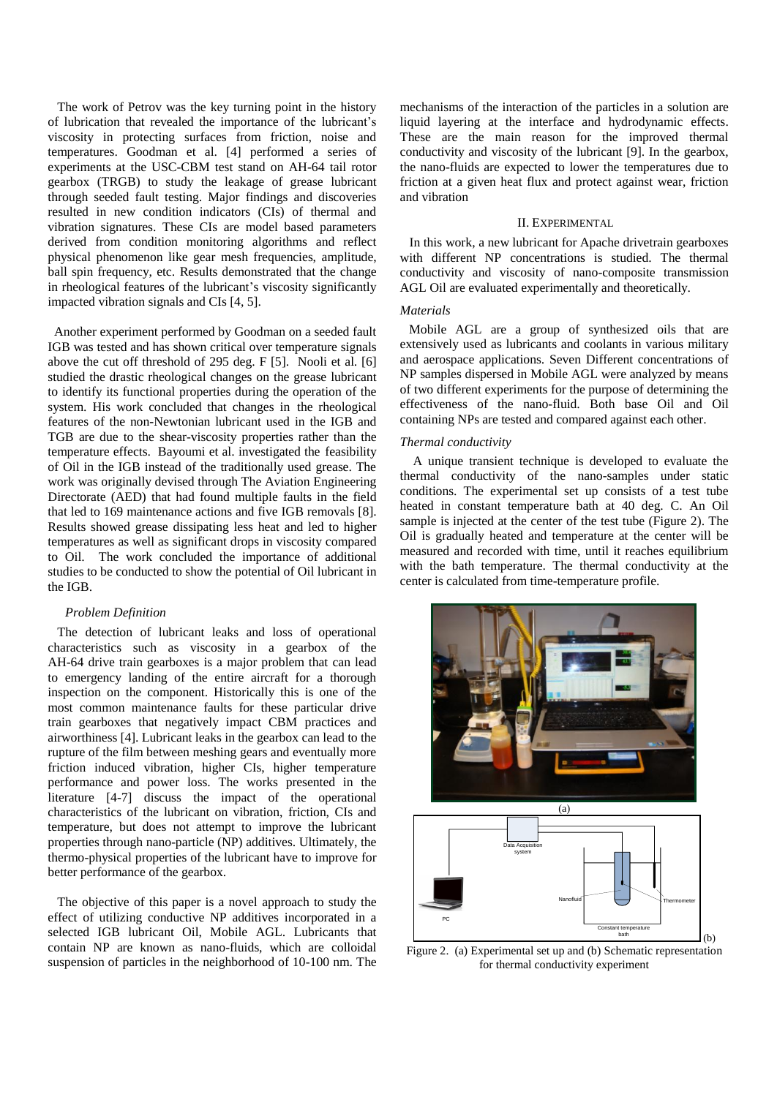The work of Petrov was the key turning point in the history of lubrication that revealed the importance of the lubricant's viscosity in protecting surfaces from friction, noise and temperatures. Goodman et al. [4] performed a series of experiments at the USC-CBM test stand on AH-64 tail rotor gearbox (TRGB) to study the leakage of grease lubricant through seeded fault testing. Major findings and discoveries resulted in new condition indicators (CIs) of thermal and vibration signatures. These CIs are model based parameters derived from condition monitoring algorithms and reflect physical phenomenon like gear mesh frequencies, amplitude, ball spin frequency, etc. Results demonstrated that the change in rheological features of the lubricant's viscosity significantly impacted vibration signals and CIs [4, 5].

 Another experiment performed by Goodman on a seeded fault IGB was tested and has shown critical over temperature signals above the cut off threshold of 295 deg. F [5]. Nooli et al. [6] studied the drastic rheological changes on the grease lubricant to identify its functional properties during the operation of the system. His work concluded that changes in the rheological features of the non-Newtonian lubricant used in the IGB and TGB are due to the shear-viscosity properties rather than the temperature effects. Bayoumi et al. investigated the feasibility of Oil in the IGB instead of the traditionally used grease. The work was originally devised through The Aviation Engineering Directorate (AED) that had found multiple faults in the field that led to 169 maintenance actions and five IGB removals [8]. Results showed grease dissipating less heat and led to higher temperatures as well as significant drops in viscosity compared to Oil. The work concluded the importance of additional studies to be conducted to show the potential of Oil lubricant in the IGB.

# *Problem Definition*

 The detection of lubricant leaks and loss of operational characteristics such as viscosity in a gearbox of the AH-64 drive train gearboxes is a major problem that can lead to emergency landing of the entire aircraft for a thorough inspection on the component. Historically this is one of the most common maintenance faults for these particular drive train gearboxes that negatively impact CBM practices and airworthiness [4]. Lubricant leaks in the gearbox can lead to the rupture of the film between meshing gears and eventually more friction induced vibration, higher CIs, higher temperature performance and power loss. The works presented in the literature [4-7] discuss the impact of the operational characteristics of the lubricant on vibration, friction, CIs and temperature, but does not attempt to improve the lubricant properties through nano-particle (NP) additives. Ultimately, the thermo-physical properties of the lubricant have to improve for better performance of the gearbox.

 The objective of this paper is a novel approach to study the effect of utilizing conductive NP additives incorporated in a selected IGB lubricant Oil, Mobile AGL. Lubricants that contain NP are known as nano-fluids, which are colloidal suspension of particles in the neighborhood of 10-100 nm. The

mechanisms of the interaction of the particles in a solution are liquid layering at the interface and hydrodynamic effects. These are the main reason for the improved thermal conductivity and viscosity of the lubricant [9]. In the gearbox, the nano-fluids are expected to lower the temperatures due to friction at a given heat flux and protect against wear, friction and vibration

#### II. EXPERIMENTAL

 In this work, a new lubricant for Apache drivetrain gearboxes with different NP concentrations is studied. The thermal conductivity and viscosity of nano-composite transmission AGL Oil are evaluated experimentally and theoretically.

# *Materials*

Mobile AGL are a group of synthesized oils that are extensively used as lubricants and coolants in various military and aerospace applications. Seven Different concentrations of NP samples dispersed in Mobile AGL were analyzed by means of two different experiments for the purpose of determining the effectiveness of the nano-fluid. Both base Oil and Oil containing NPs are tested and compared against each other.

#### *Thermal conductivity*

A unique transient technique is developed to evaluate the thermal conductivity of the nano-samples under static conditions. The experimental set up consists of a test tube heated in constant temperature bath at 40 deg. C. An Oil sample is injected at the center of the test tube (Figure 2). The Oil is gradually heated and temperature at the center will be measured and recorded with time, until it reaches equilibrium with the bath temperature. The thermal conductivity at the center is calculated from time-temperature profile.



Figure 2. (a) Experimental set up and (b) Schematic representation for thermal conductivity experiment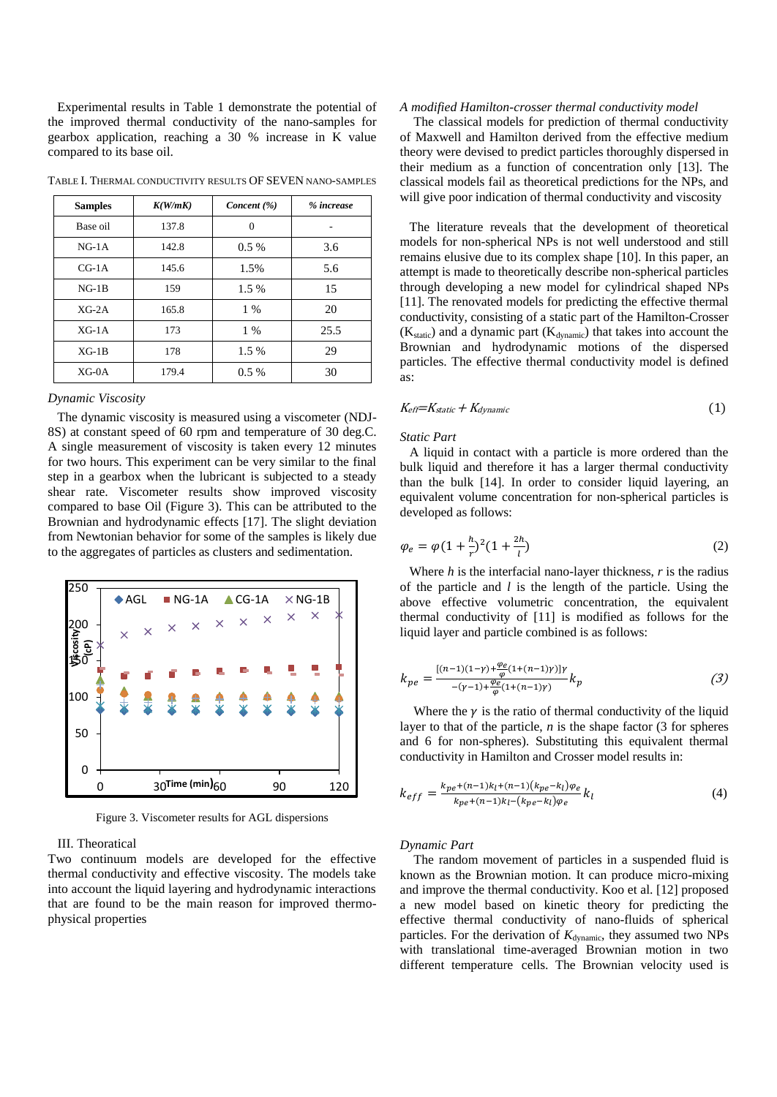Experimental results in Table 1 demonstrate the potential of the improved thermal conductivity of the nano-samples for gearbox application, reaching a 30 % increase in K value compared to its base oil.

| <b>Samples</b> | K(W/mK) | Concent $(\%)$ | % increase |
|----------------|---------|----------------|------------|
| Base oil       | 137.8   | $\Omega$       |            |
| $NG-1A$        | 142.8   | $0.5\%$        | 3.6        |
| $CG-1A$        | 145.6   | 1.5%           | 5.6        |
| $NG-1B$        | 159     | 1.5 %          | 15         |
| $XG-2A$        | 165.8   | $1\%$          | 20         |
| $XG-1A$        | 173     | $1\%$          | 25.5       |
| $XG-1B$        | 178     | 1.5 %          | 29         |
| $XG-0A$        | 179.4   | $0.5\%$        | 30         |

TABLE I. THERMAL CONDUCTIVITY RESULTS OF SEVEN NANO-SAMPLES

#### *Dynamic Viscosity*

 The dynamic viscosity is measured using a viscometer (NDJ-8S) at constant speed of 60 rpm and temperature of 30 deg.C. A single measurement of viscosity is taken every 12 minutes for two hours. This experiment can be very similar to the final step in a gearbox when the lubricant is subjected to a steady shear rate. Viscometer results show improved viscosity compared to base Oil (Figure 3). This can be attributed to the Brownian and hydrodynamic effects [17]. The slight deviation from Newtonian behavior for some of the samples is likely due to the aggregates of particles as clusters and sedimentation.



Figure 3. Viscometer results for AGL dispersions

#### III. Theoratical

Two continuum models are developed for the effective thermal conductivity and effective viscosity. The models take into account the liquid layering and hydrodynamic interactions that are found to be the main reason for improved thermophysical properties

#### *A modified Hamilton-crosser thermal conductivity model*

 The classical models for prediction of thermal conductivity of Maxwell and Hamilton derived from the effective medium theory were devised to predict particles thoroughly dispersed in their medium as a function of concentration only [13]. The classical models fail as theoretical predictions for the NPs, and will give poor indication of thermal conductivity and viscosity

 The literature reveals that the development of theoretical models for non-spherical NPs is not well understood and still remains elusive due to its complex shape [10]. In this paper, an attempt is made to theoretically describe non-spherical particles through developing a new model for cylindrical shaped NPs [11]. The renovated models for predicting the effective thermal conductivity, consisting of a static part of the Hamilton-Crosser  $(K_{static})$  and a dynamic part  $(K_{dynamic})$  that takes into account the Brownian and hydrodynamic motions of the dispersed particles. The effective thermal conductivity model is defined as:

$$
K_{\text{eff}} = K_{\text{static}} + K_{\text{dynamic}} \tag{1}
$$

#### *Static Part*

 A liquid in contact with a particle is more ordered than the bulk liquid and therefore it has a larger thermal conductivity than the bulk [14]. In order to consider liquid layering, an equivalent volume concentration for non-spherical particles is developed as follows:

$$
\varphi_e = \varphi (1 + \frac{h}{r})^2 (1 + \frac{2h}{l})
$$
\n(2)

 Where *h* is the interfacial nano-layer thickness, *r* is the radius of the particle and *l* is the length of the particle. Using the above effective volumetric concentration, the equivalent thermal conductivity of [11] is modified as follows for the liquid layer and particle combined is as follows:

$$
k_{pe} = \frac{[(n-1)(1-\gamma) + \frac{\varphi_e}{\varphi}(1+(n-1)\gamma)]\gamma}{-(\gamma - 1) + \frac{\varphi_e}{\varphi}(1+(n-1)\gamma)} k_p
$$
 (3)

Where the  $\gamma$  is the ratio of thermal conductivity of the liquid layer to that of the particle, *n* is the shape factor (3 for spheres and 6 for non-spheres). Substituting this equivalent thermal conductivity in Hamilton and Crosser model results in:

$$
k_{eff} = \frac{k_{pe} + (n-1)k_l + (n-1)(k_{pe} - k_l)\varphi_e}{k_{pe} + (n-1)k_l - (k_{pe} - k_l)\varphi_e}k_l
$$
\n<sup>(4)</sup>

#### *Dynamic Part*

 The random movement of particles in a suspended fluid is known as the Brownian motion. It can produce micro-mixing and improve the thermal conductivity. Koo et al. [12] proposed a new model based on kinetic theory for predicting the effective thermal conductivity of nano-fluids of spherical particles. For the derivation of  $K_{\text{dynamic}}$ , they assumed two NPs with translational time-averaged Brownian motion in two different temperature cells. The Brownian velocity used is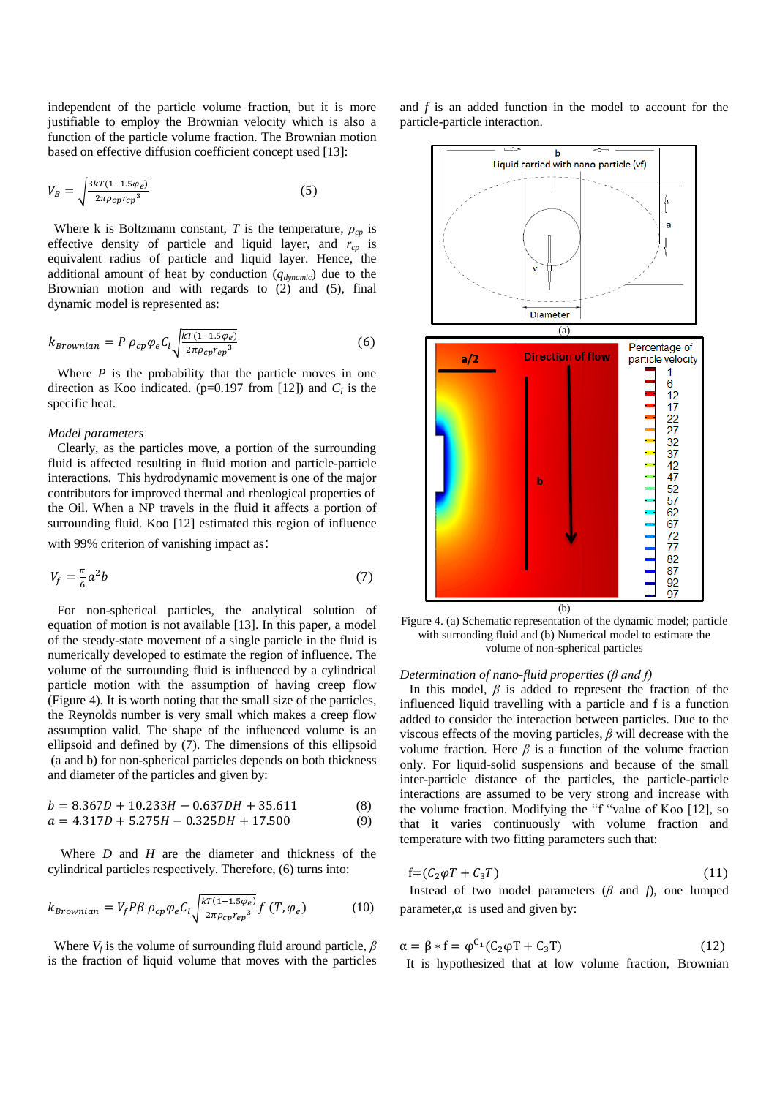independent of the particle volume fraction, but it is more justifiable to employ the Brownian velocity which is also a function of the particle volume fraction. The Brownian motion based on effective diffusion coefficient concept used [13]:

$$
V_B = \sqrt{\frac{3kT(1 - 1.5\varphi_e)}{2\pi\rho_c r c_p^3}}
$$
(5)

Where k is Boltzmann constant, *T* is the temperature,  $\rho_{cp}$  is effective density of particle and liquid layer, and *rcp* is equivalent radius of particle and liquid layer. Hence, the additional amount of heat by conduction (*qdynamic*) due to the Brownian motion and with regards to (2) and (5), final dynamic model is represented as:

$$
k_{Brownian} = P \rho_{cp} \varphi_e C_l \sqrt{\frac{kT(1-1.5\varphi_e)}{2\pi \rho_{cp} r_{ep}^3}} \tag{6}
$$

 Where *P* is the probability that the particle moves in one direction as Koo indicated. ( $p=0.197$  from [12]) and  $C_l$  is the specific heat.

## *Model parameters*

 Clearly, as the particles move, a portion of the surrounding fluid is affected resulting in fluid motion and particle-particle interactions. This hydrodynamic movement is one of the major contributors for improved thermal and rheological properties of the Oil. When a NP travels in the fluid it affects a portion of surrounding fluid. Koo [12] estimated this region of influence

with 99% criterion of vanishing impact as:

$$
V_f = \frac{\pi}{6} a^2 b \tag{7}
$$

 For non-spherical particles, the analytical solution of equation of motion is not available [13]. In this paper, a model of the steady-state movement of a single particle in the fluid is numerically developed to estimate the region of influence. The volume of the surrounding fluid is influenced by a cylindrical particle motion with the assumption of having creep flow (Figure 4). It is worth noting that the small size of the particles, the Reynolds number is very small which makes a creep flow assumption valid. The shape of the influenced volume is an ellipsoid and defined by (7). The dimensions of this ellipsoid (a and b) for non-spherical particles depends on both thickness and diameter of the particles and given by:

$$
b = 8.367D + 10.233H - 0.637DH + 35.611
$$
\n(8)

$$
a = 4.317D + 5.275H - 0.325DH + 17.500\tag{9}
$$

 Where *D* and *H* are the diameter and thickness of the cylindrical particles respectively. Therefore, (6) turns into:

$$
k_{Brownian} = V_f P \beta \rho_{cp} \varphi_e C_l \sqrt{\frac{kT(1-1.5\varphi_e)}{2\pi \rho_{cp} r_{ep}^3}} f(T, \varphi_e)
$$
 (10)

Where  $V_f$  is the volume of surrounding fluid around particle,  $\beta$ is the fraction of liquid volume that moves with the particles and *f* is an added function in the model to account for the particle-particle interaction.



Figure 4. (a) Schematic representation of the dynamic model; particle with surronding fluid and (b) Numerical model to estimate the volume of non-spherical particles

# *Determination of nano-fluid properties (β and f)*

In this model,  $\beta$  is added to represent the fraction of the influenced liquid travelling with a particle and f is a function added to consider the interaction between particles. Due to the viscous effects of the moving particles, *β* will decrease with the volume fraction. Here  $\beta$  is a function of the volume fraction only. For liquid-solid suspensions and because of the small inter-particle distance of the particles, the particle-particle interactions are assumed to be very strong and increase with the volume fraction. Modifying the "f "value of Koo [12], so that it varies continuously with volume fraction and temperature with two fitting parameters such that:

$$
f = (C_2 \varphi T + C_3 T) \tag{11}
$$

Instead of two model parameters  $(\beta \text{ and } f)$ , one lumped parameter,  $\alpha$  is used and given by:

$$
\alpha = \beta * f = \varphi^{C_1}(C_2 \varphi T + C_3 T) \tag{12}
$$

It is hypothesized that at low volume fraction, Brownian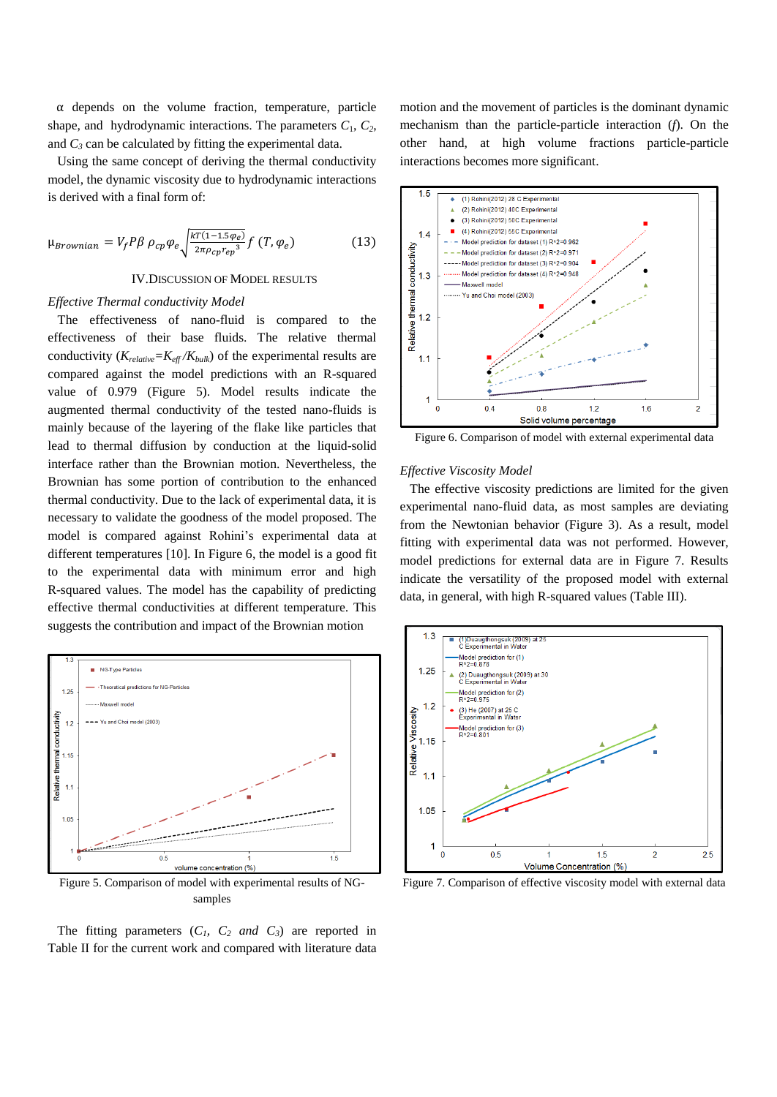$\alpha$  depends on the volume fraction, temperature, particle shape, and hydrodynamic interactions. The parameters  $C_1$ ,  $C_2$ , and  $C_3$  can be calculated by fitting the experimental data.

 Using the same concept of deriving the thermal conductivity model, the dynamic viscosity due to hydrodynamic interactions is derived with a final form of:

$$
\mu_{Brownian} = V_f P \beta \rho_{cp} \varphi_e \sqrt{\frac{kT(1-1.5\varphi_e)}{2\pi \rho_{cp} r_{ep}^3}} f(T, \varphi_e)
$$
(13)

IV.DISCUSSION OF MODEL RESULTS

#### *Effective Thermal conductivity Model*

The effectiveness of nano-fluid is compared to the effectiveness of their base fluids. The relative thermal conductivity  $(K_{relative} = K_{eff}/K_{bulk})$  of the experimental results are compared against the model predictions with an R-squared value of 0.979 (Figure 5). Model results indicate the augmented thermal conductivity of the tested nano-fluids is mainly because of the layering of the flake like particles that lead to thermal diffusion by conduction at the liquid-solid interface rather than the Brownian motion. Nevertheless, the Brownian has some portion of contribution to the enhanced thermal conductivity. Due to the lack of experimental data, it is necessary to validate the goodness of the model proposed. The model is compared against Rohini's experimental data at different temperatures [10]. In Figure 6, the model is a good fit to the experimental data with minimum error and high R-squared values. The model has the capability of predicting effective thermal conductivities at different temperature. This suggests the contribution and impact of the Brownian motion



Figure 5. Comparison of model with experimental results of NGsamples

The fitting parameters  $(C_1, C_2 \text{ and } C_3)$  are reported in Table II for the current work and compared with literature data

motion and the movement of particles is the dominant dynamic mechanism than the particle-particle interaction (*f*). On the other hand, at high volume fractions particle-particle interactions becomes more significant.



Figure 6. Comparison of model with external experimental data

#### *Effective Viscosity Model*

The effective viscosity predictions are limited for the given experimental nano-fluid data, as most samples are deviating from the Newtonian behavior (Figure 3). As a result, model fitting with experimental data was not performed. However, model predictions for external data are in Figure 7. Results indicate the versatility of the proposed model with external data, in general, with high R-squared values (Table III).



Figure 7. Comparison of effective viscosity model with external data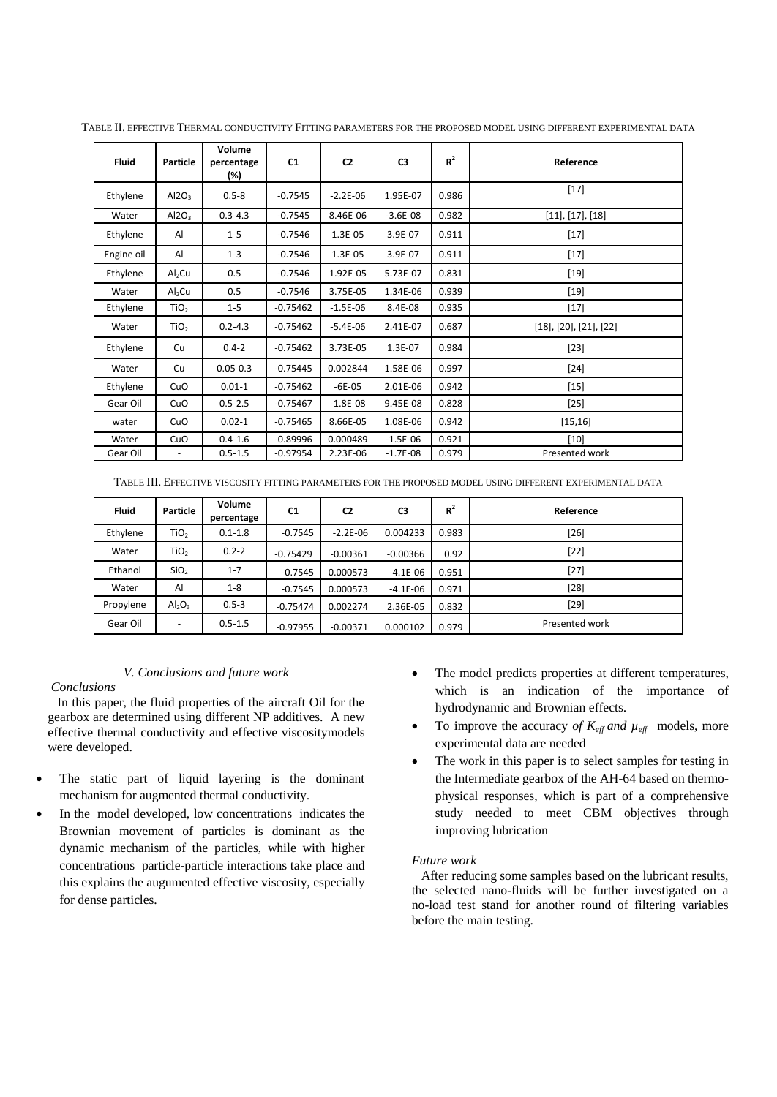| <b>Fluid</b> | Particle                   | Volume<br>percentage<br>(%) | C1         | C <sub>2</sub> | C <sub>3</sub> | $R^2$ | Reference                         |
|--------------|----------------------------|-----------------------------|------------|----------------|----------------|-------|-----------------------------------|
| Ethylene     | Al2O <sub>3</sub>          | $0.5 - 8$                   | $-0.7545$  | $-2.2E-06$     | 1.95E-07       | 0.986 | $[17]$                            |
| Water        | Al2O <sub>3</sub>          | $0.3 - 4.3$                 | $-0.7545$  | 8.46E-06       | $-3.6E-08$     | 0.982 | [11], [17], [18]                  |
| Ethylene     | Al                         | $1 - 5$                     | $-0.7546$  | 1.3E-05        | 3.9E-07        | 0.911 | $[17]$                            |
| Engine oil   | AI                         | $1 - 3$                     | $-0.7546$  | 1.3E-05        | 3.9E-07        | 0.911 | $[17]$                            |
| Ethylene     | Al <sub>2</sub> Cu         | 0.5                         | $-0.7546$  | 1.92E-05       | 5.73E-07       | 0.831 | $[19]$                            |
| Water        | $\mathsf{Al}_2\mathsf{Cu}$ | 0.5                         | $-0.7546$  | 3.75E-05       | 1.34E-06       | 0.939 | $[19]$                            |
| Ethylene     | TiO <sub>2</sub>           | $1 - 5$                     | $-0.75462$ | $-1.5E-06$     | 8.4E-08        | 0.935 | $[17]$                            |
| Water        | TiO <sub>2</sub>           | $0.2 - 4.3$                 | $-0.75462$ | $-5.4E-06$     | 2.41E-07       | 0.687 | $[18]$ , $[20]$ , $[21]$ , $[22]$ |
| Ethylene     | Cu                         | $0.4 - 2$                   | $-0.75462$ | 3.73E-05       | 1.3E-07        | 0.984 | $[23]$                            |
| Water        | Cu                         | $0.05 - 0.3$                | $-0.75445$ | 0.002844       | 1.58E-06       | 0.997 | $[24]$                            |
| Ethylene     | CuO                        | $0.01 - 1$                  | $-0.75462$ | $-6E-05$       | 2.01E-06       | 0.942 | $[15]$                            |
| Gear Oil     | CuO                        | $0.5 - 2.5$                 | $-0.75467$ | $-1.8E-08$     | 9.45E-08       | 0.828 | $[25]$                            |
| water        | CuO                        | $0.02 - 1$                  | $-0.75465$ | 8.66E-05       | 1.08E-06       | 0.942 | [15, 16]                          |
| Water        | CuO                        | $0.4 - 1.6$                 | $-0.89996$ | 0.000489       | $-1.5E-06$     | 0.921 | $[10]$                            |
| Gear Oil     |                            | $0.5 - 1.5$                 | $-0.97954$ | 2.23E-06       | $-1.7E-08$     | 0.979 | Presented work                    |

TABLE II. EFFECTIVE THERMAL CONDUCTIVITY FITTING PARAMETERS FOR THE PROPOSED MODEL USING DIFFERENT EXPERIMENTAL DATA

TABLE III. EFFECTIVE VISCOSITY FITTING PARAMETERS FOR THE PROPOSED MODEL USING DIFFERENT EXPERIMENTAL DATA

| <b>Fluid</b> | <b>Particle</b>          | Volume<br>percentage | C <sub>1</sub> | C <sub>2</sub> | C <sub>3</sub> | $R^2$ | Reference      |
|--------------|--------------------------|----------------------|----------------|----------------|----------------|-------|----------------|
| Ethylene     | TiO <sub>2</sub>         | $0.1 - 1.8$          | $-0.7545$      | $-2.2E-06$     | 0.004233       | 0.983 | [26]           |
| Water        | TiO <sub>2</sub>         | $0.2 - 2$            | $-0.75429$     | $-0.00361$     | $-0.00366$     | 0.92  | $[22]$         |
| Ethanol      | SiO <sub>2</sub>         | $1 - 7$              | $-0.7545$      | 0.000573       | $-4.1E-06$     | 0.951 | $[27]$         |
| Water        | Al                       | $1 - 8$              | $-0.7545$      | 0.000573       | $-4.1E-06$     | 0.971 | $[28]$         |
| Propylene    | $Al_2O_3$                | $0.5 - 3$            | $-0.75474$     | 0.002274       | 2.36E-05       | 0.832 | $[29]$         |
| Gear Oil     | $\overline{\phantom{0}}$ | $0.5 - 1.5$          | $-0.97955$     | $-0.00371$     | 0.000102       | 0.979 | Presented work |

# *V. Conclusions and future work*

*Conclusions*

 In this paper, the fluid properties of the aircraft Oil for the gearbox are determined using different NP additives. A new effective thermal conductivity and effective viscositymodels were developed.

- The static part of liquid layering is the dominant mechanism for augmented thermal conductivity.
- In the model developed, low concentrations indicates the Brownian movement of particles is dominant as the dynamic mechanism of the particles, while with higher concentrations particle-particle interactions take place and this explains the augumented effective viscosity, especially for dense particles.
- The model predicts properties at different temperatures, which is an indication of the importance of hydrodynamic and Brownian effects.
- To improve the accuracy of  $K_{\text{eff}}$  and  $\mu_{\text{eff}}$  models, more experimental data are needed
- The work in this paper is to select samples for testing in the Intermediate gearbox of the AH-64 based on thermophysical responses, which is part of a comprehensive study needed to meet CBM objectives through improving lubrication

# *Future work*

 After reducing some samples based on the lubricant results, the selected nano-fluids will be further investigated on a no-load test stand for another round of filtering variables before the main testing.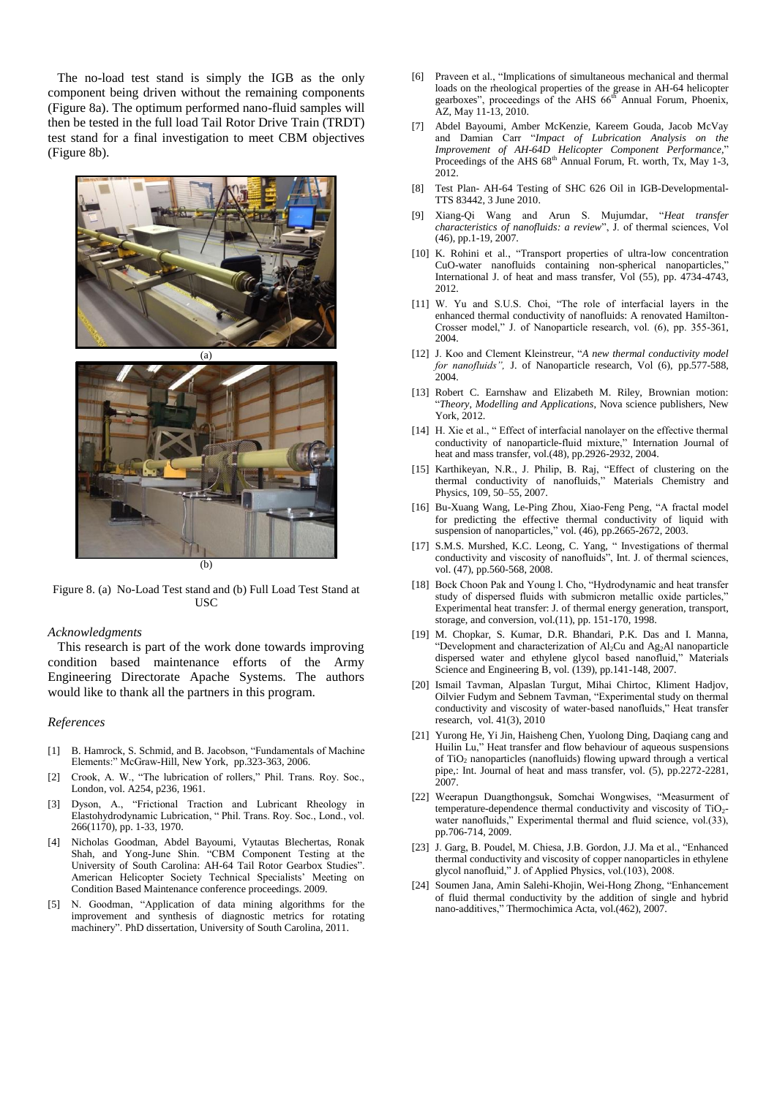The no-load test stand is simply the IGB as the only component being driven without the remaining components (Figure 8a). The optimum performed nano-fluid samples will then be tested in the full load Tail Rotor Drive Train (TRDT) test stand for a final investigation to meet CBM objectives (Figure 8b).





Figure 8. (a) No-Load Test stand and (b) Full Load Test Stand at USC

#### *Acknowledgments*

 This research is part of the work done towards improving condition based maintenance efforts of the Army Engineering Directorate Apache Systems. The authors would like to thank all the partners in this program.

#### *References*

- [1] B. Hamrock, S. Schmid, and B. Jacobson, "Fundamentals of Machine Elements:" McGraw-Hill, New York, pp.323-363, 2006.
- [2] Crook, A. W., "The lubrication of rollers," Phil. Trans. Roy. Soc., London, vol. A254, p236, 1961.
- [3] Dyson, A., "Frictional Traction and Lubricant Rheology in Elastohydrodynamic Lubrication, " Phil. Trans. Roy. Soc., Lond., vol. 266(1170), pp. 1-33, 1970.
- [4] Nicholas Goodman, Abdel Bayoumi, Vytautas Blechertas, Ronak Shah, and Yong-June Shin. "CBM Component Testing at the University of South Carolina: AH-64 Tail Rotor Gearbox Studies". American Helicopter Society Technical Specialists' Meeting on Condition Based Maintenance conference proceedings. 2009.
- [5] N. Goodman, "Application of data mining algorithms for the improvement and synthesis of diagnostic metrics for rotating machinery". PhD dissertation, University of South Carolina, 2011.
- [6] Praveen et al., "Implications of simultaneous mechanical and thermal loads on the rheological properties of the grease in AH-64 helicopter gearboxes", proceedings of the AHS 66<sup>th</sup> Annual Forum, Phoenix, AZ, May 11-13, 2010.
- [7] Abdel Bayoumi, Amber McKenzie, Kareem Gouda, Jacob McVay and Damian Carr "*Impact of Lubrication Analysis on the Improvement of AH-64D Helicopter Component Performance*," Proceedings of the AHS  $68<sup>th</sup>$  Annual Forum, Ft. worth, Tx, May 1-3, 2012.
- [8] Test Plan- AH-64 Testing of SHC 626 Oil in IGB-Developmental-TTS 83442, 3 June 2010.
- [9] Xiang-Qi Wang and Arun S. Mujumdar, "*Heat transfer characteristics of nanofluids: a review*", J. of thermal sciences, Vol (46), pp.1-19, 2007.
- [10] K. Rohini et al., "Transport properties of ultra-low concentration CuO-water nanofluids containing non-spherical nanoparticles, International J. of heat and mass transfer, Vol (55), pp. 4734-4743, 2012.
- [11] W. Yu and S.U.S. Choi, "The role of interfacial layers in the enhanced thermal conductivity of nanofluids: A renovated Hamilton-Crosser model," J. of Nanoparticle research, vol. (6), pp. 355-361, 2004.
- [12] J. Koo and Clement Kleinstreur, "*A new thermal conductivity model for nanofluids"*, J. of Nanoparticle research, Vol (6), pp.577-588,  $2004.$
- [13] Robert C. Earnshaw and Elizabeth M. Riley, Brownian motion: "*Theory, Modelling and Applications*, Nova science publishers, New York, 2012.
- [14] H. Xie et al., " Effect of interfacial nanolayer on the effective thermal conductivity of nanoparticle-fluid mixture," Internation Journal of heat and mass transfer, vol.(48), pp.2926-2932, 2004.
- [15] Karthikeyan, N.R., J. Philip, B. Raj, "Effect of clustering on the thermal conductivity of nanofluids," Materials Chemistry and Physics, 109, 50–55, 2007.
- [16] Bu-Xuang Wang, Le-Ping Zhou, Xiao-Feng Peng, "A fractal model for predicting the effective thermal conductivity of liquid with suspension of nanoparticles," vol. (46), pp.2665-2672, 2003.
- [17] S.M.S. Murshed, K.C. Leong, C. Yang, " Investigations of thermal conductivity and viscosity of nanofluids", Int. J. of thermal sciences, vol. (47), pp.560-568, 2008.
- [18] Bock Choon Pak and Young l. Cho, "Hydrodynamic and heat transfer study of dispersed fluids with submicron metallic oxide particles,' Experimental heat transfer: J. of thermal energy generation, transport, storage, and conversion, vol.(11), pp. 151-170, 1998.
- [19] M. Chopkar, S. Kumar, D.R. Bhandari, P.K. Das and I. Manna, "Development and characterization of Al<sub>2</sub>Cu and Ag<sub>2</sub>Al nanoparticle dispersed water and ethylene glycol based nanofluid," Materials Science and Engineering B, vol. (139), pp.141-148, 2007.
- [20] Ismail Tavman, Alpaslan Turgut, Mihai Chirtoc, Kliment Hadjov, Oilvier Fudym and Sebnem Tavman, "Experimental study on thermal conductivity and viscosity of water-based nanofluids," Heat transfer research, vol. 41(3), 2010
- [21] Yurong He, Yi Jin, Haisheng Chen, Yuolong Ding, Daqiang cang and Huilin Lu," Heat transfer and flow behaviour of aqueous suspensions of TiO<sup>2</sup> nanoparticles (nanofluids) flowing upward through a vertical pipe,: Int. Journal of heat and mass transfer, vol. (5), pp.2272-2281, 2007.
- [22] Weerapun Duangthongsuk, Somchai Wongwises, "Measurment of temperature-dependence thermal conductivity and viscosity of  $TiO<sub>2</sub>$ water nanofluids," Experimental thermal and fluid science, vol.(33), pp.706-714, 2009.
- [23] J. Garg, B. Poudel, M. Chiesa, J.B. Gordon, J.J. Ma et al., "Enhanced thermal conductivity and viscosity of copper nanoparticles in ethylene glycol nanofluid," J. of Applied Physics, vol.(103), 2008.
- [24] Soumen Jana, Amin Salehi-Khojin, Wei-Hong Zhong, "Enhancement of fluid thermal conductivity by the addition of single and hybrid nano-additives," Thermochimica Acta, vol.(462), 2007.